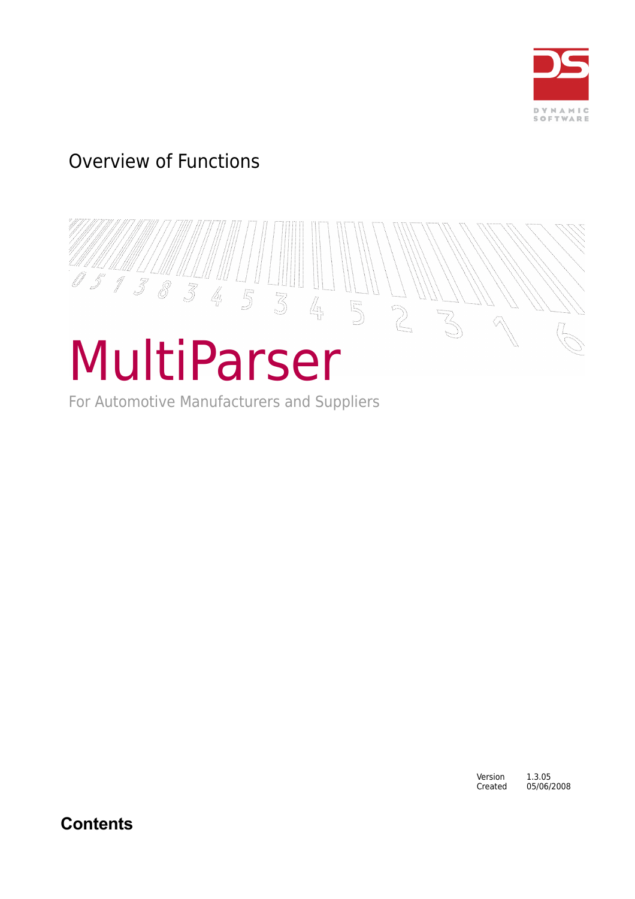

# Overview of Functions



For Automotive Manufacturers and Suppliers

Version 1.3.05<br>Created 05/06/ 05/06/2008

**Contents**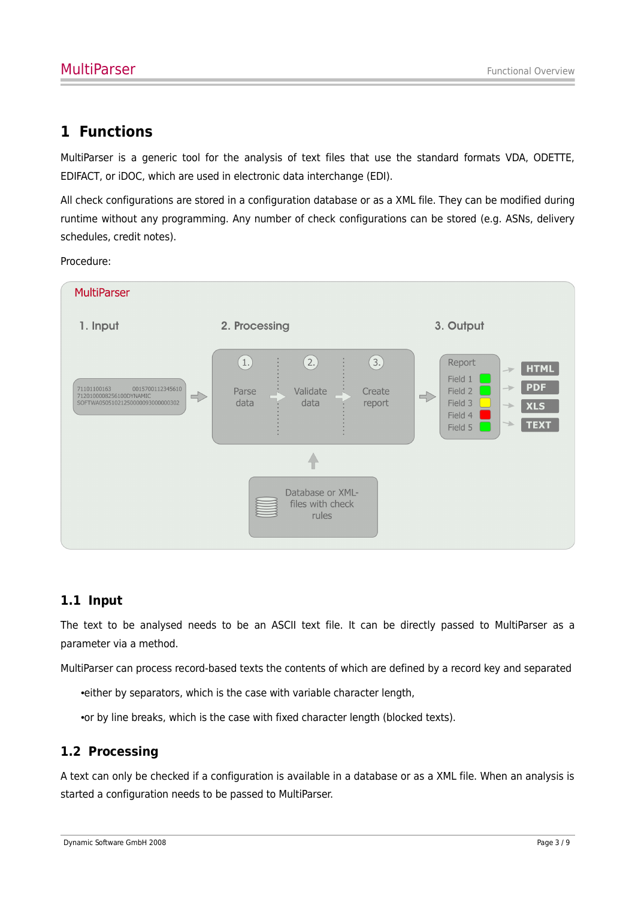## **1 Functions**

MultiParser is a generic tool for the analysis of text files that use the standard formats VDA, ODETTE, EDIFACT, or iDOC, which are used in electronic data interchange (EDI).

All check configurations are stored in a configuration database or as a XML file. They can be modified during runtime without any programming. Any number of check configurations can be stored (e.g. ASNs, delivery schedules, credit notes).

Procedure:



### **1.1 Input**

The text to be analysed needs to be an ASCII text file. It can be directly passed to MultiParser as a parameter via a method.

MultiParser can process record-based texts the contents of which are defined by a record key and separated

•either by separators, which is the case with variable character length,

•or by line breaks, which is the case with fixed character length (blocked texts).

### **1.2 Processing**

A text can only be checked if a configuration is available in a database or as a XML file. When an analysis is started a configuration needs to be passed to MultiParser.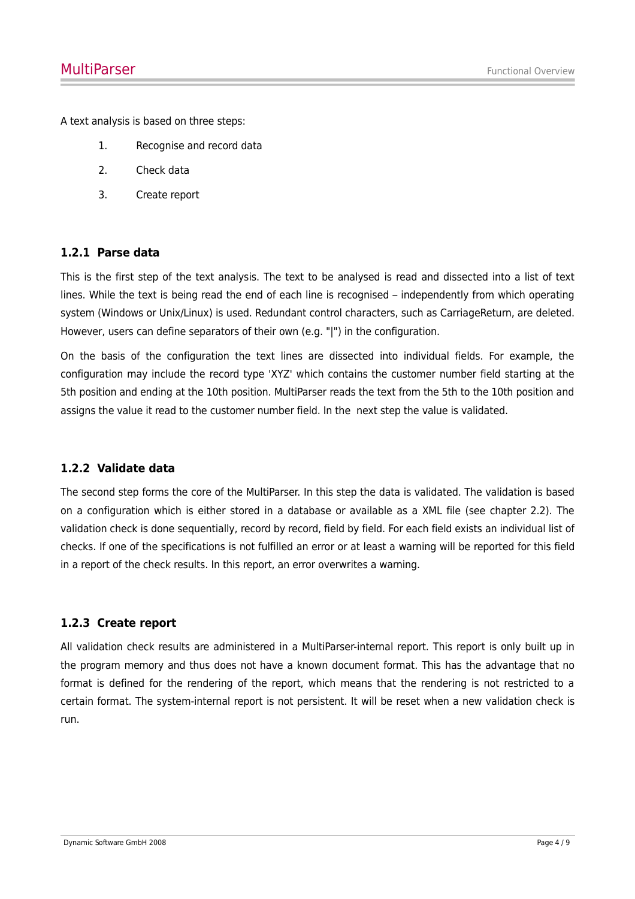A text analysis is based on three steps:

- 1. Recognise and record data
- 2. Check data
- 3. Create report

#### **1.2.1 Parse data**

This is the first step of the text analysis. The text to be analysed is read and dissected into a list of text lines. While the text is being read the end of each line is recognised – independently from which operating system (Windows or Unix/Linux) is used. Redundant control characters, such as CarriageReturn, are deleted. However, users can define separators of their own (e.g. "|") in the configuration.

On the basis of the configuration the text lines are dissected into individual fields. For example, the configuration may include the record type 'XYZ' which contains the customer number field starting at the 5th position and ending at the 10th position. MultiParser reads the text from the 5th to the 10th position and assigns the value it read to the customer number field. In the next step the value is validated.

#### **1.2.2 Validate data**

The second step forms the core of the MultiParser. In this step the data is validated. The validation is based on a configuration which is either stored in a database or available as a XML file (see chapter 2.2). The validation check is done sequentially, record by record, field by field. For each field exists an individual list of checks. If one of the specifications is not fulfilled an error or at least a warning will be reported for this field in a report of the check results. In this report, an error overwrites a warning.

#### **1.2.3 Create report**

All validation check results are administered in a MultiParser-internal report. This report is only built up in the program memory and thus does not have a known document format. This has the advantage that no format is defined for the rendering of the report, which means that the rendering is not restricted to a certain format. The system-internal report is not persistent. It will be reset when a new validation check is run.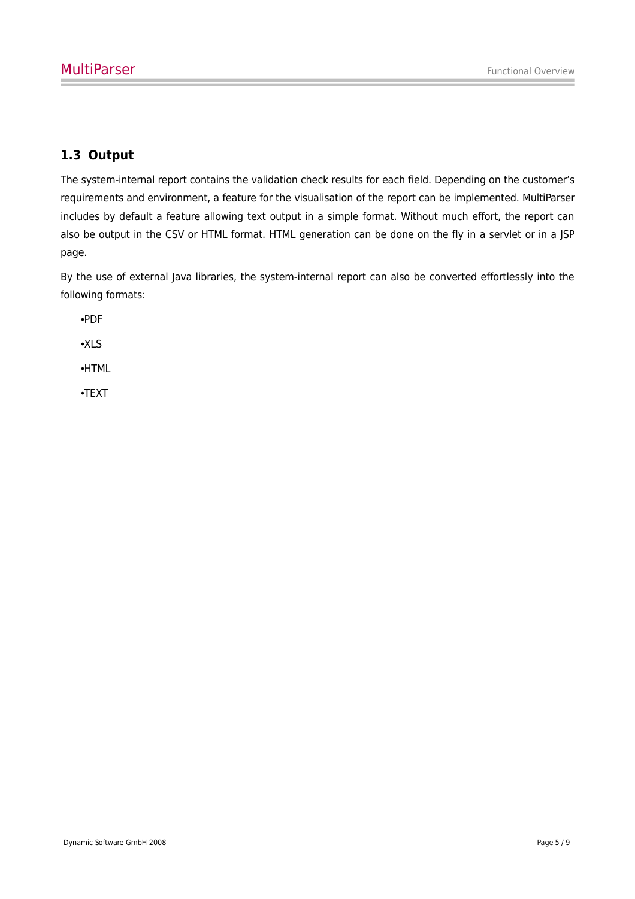## **1.3 Output**

The system-internal report contains the validation check results for each field. Depending on the customer's requirements and environment, a feature for the visualisation of the report can be implemented. MultiParser includes by default a feature allowing text output in a simple format. Without much effort, the report can also be output in the CSV or HTML format. HTML generation can be done on the fly in a servlet or in a JSP page.

By the use of external Java libraries, the system-internal report can also be converted effortlessly into the following formats:

•PDF

•XLS

•HTML

•TEXT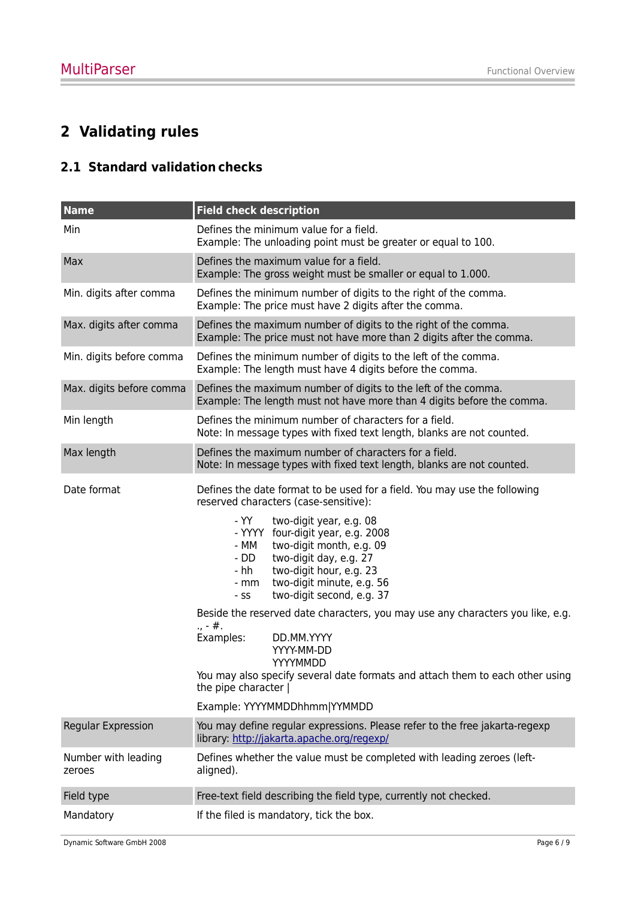## **2 Validating rules**

## **2.1 Standard validation checks**

| <b>Name</b>                   | <b>Field check description</b>                                                                                                                                                                                                                            |  |  |  |  |  |
|-------------------------------|-----------------------------------------------------------------------------------------------------------------------------------------------------------------------------------------------------------------------------------------------------------|--|--|--|--|--|
| Min                           | Defines the minimum value for a field.<br>Example: The unloading point must be greater or equal to 100.                                                                                                                                                   |  |  |  |  |  |
| Max                           | Defines the maximum value for a field.<br>Example: The gross weight must be smaller or equal to 1.000.                                                                                                                                                    |  |  |  |  |  |
| Min. digits after comma       | Defines the minimum number of digits to the right of the comma.<br>Example: The price must have 2 digits after the comma.                                                                                                                                 |  |  |  |  |  |
| Max. digits after comma       | Defines the maximum number of digits to the right of the comma.<br>Example: The price must not have more than 2 digits after the comma.                                                                                                                   |  |  |  |  |  |
| Min. digits before comma      | Defines the minimum number of digits to the left of the comma.<br>Example: The length must have 4 digits before the comma.                                                                                                                                |  |  |  |  |  |
| Max. digits before comma      | Defines the maximum number of digits to the left of the comma.<br>Example: The length must not have more than 4 digits before the comma.                                                                                                                  |  |  |  |  |  |
| Min length                    | Defines the minimum number of characters for a field.<br>Note: In message types with fixed text length, blanks are not counted.                                                                                                                           |  |  |  |  |  |
| Max length                    | Defines the maximum number of characters for a field.<br>Note: In message types with fixed text length, blanks are not counted.                                                                                                                           |  |  |  |  |  |
| Date format                   | Defines the date format to be used for a field. You may use the following<br>reserved characters (case-sensitive):                                                                                                                                        |  |  |  |  |  |
|                               | - YY -<br>two-digit year, e.g. 08<br>- YYYY four-digit year, e.g. 2008<br>two-digit month, e.g. 09<br>- MM<br>two-digit day, e.g. 27<br>- DD<br>two-digit hour, e.g. 23<br>- hh<br>two-digit minute, e.g. 56<br>- mm<br>two-digit second, e.g. 37<br>- SS |  |  |  |  |  |
|                               | Beside the reserved date characters, you may use any characters you like, e.g.<br>$, -#.$                                                                                                                                                                 |  |  |  |  |  |
|                               | Examples:<br>DD.MM.YYYY<br>YYYY-MM-DD<br>YYYYMMDD<br>You may also specify several date formats and attach them to each other using<br>the pipe character                                                                                                  |  |  |  |  |  |
|                               | Example: YYYYMMDDhhmm YYMMDD                                                                                                                                                                                                                              |  |  |  |  |  |
| <b>Regular Expression</b>     | You may define regular expressions. Please refer to the free jakarta-regexp<br>library: http://jakarta.apache.org/regexp/                                                                                                                                 |  |  |  |  |  |
| Number with leading<br>zeroes | Defines whether the value must be completed with leading zeroes (left-<br>aligned).                                                                                                                                                                       |  |  |  |  |  |
| Field type                    | Free-text field describing the field type, currently not checked.                                                                                                                                                                                         |  |  |  |  |  |
| Mandatory                     | If the filed is mandatory, tick the box.                                                                                                                                                                                                                  |  |  |  |  |  |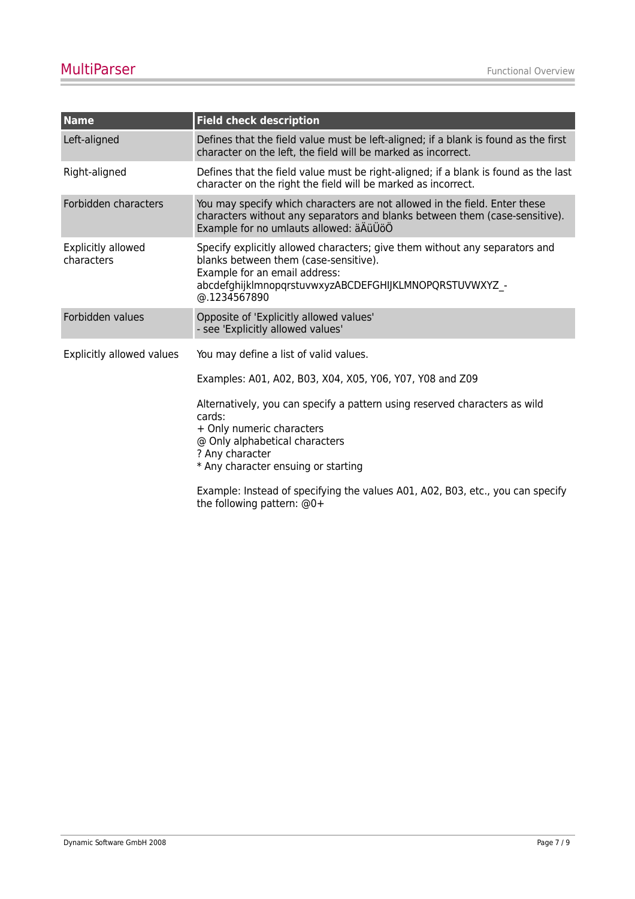| <b>Name</b>                      | <b>Field check description</b>                                                                                                                                                                                                  |  |  |  |  |
|----------------------------------|---------------------------------------------------------------------------------------------------------------------------------------------------------------------------------------------------------------------------------|--|--|--|--|
| Left-aligned                     | Defines that the field value must be left-aligned; if a blank is found as the first<br>character on the left, the field will be marked as incorrect.                                                                            |  |  |  |  |
| Right-aligned                    | Defines that the field value must be right-aligned; if a blank is found as the last<br>character on the right the field will be marked as incorrect.                                                                            |  |  |  |  |
| Forbidden characters             | You may specify which characters are not allowed in the field. Enter these<br>characters without any separators and blanks between them (case-sensitive).<br>Example for no umlauts allowed: äÄüÜöÖ                             |  |  |  |  |
| Explicitly allowed<br>characters | Specify explicitly allowed characters; give them without any separators and<br>blanks between them (case-sensitive).<br>Example for an email address:<br>abcdefghijklmnopqrstuvwxyzABCDEFGHIJKLMNOPQRSTUVWXYZ -<br>@.1234567890 |  |  |  |  |
| Forbidden values                 | Opposite of 'Explicitly allowed values'<br>- see 'Explicitly allowed values'                                                                                                                                                    |  |  |  |  |
| Explicitly allowed values        | You may define a list of valid values.                                                                                                                                                                                          |  |  |  |  |
|                                  | Examples: A01, A02, B03, X04, X05, Y06, Y07, Y08 and Z09                                                                                                                                                                        |  |  |  |  |
|                                  | Alternatively, you can specify a pattern using reserved characters as wild<br>cards:<br>+ Only numeric characters<br>@ Only alphabetical characters<br>? Any character                                                          |  |  |  |  |
|                                  | * Any character ensuing or starting                                                                                                                                                                                             |  |  |  |  |
|                                  | Example: Instead of specifying the values A01, A02, B03, etc., you can specify<br>the following pattern: @0+                                                                                                                    |  |  |  |  |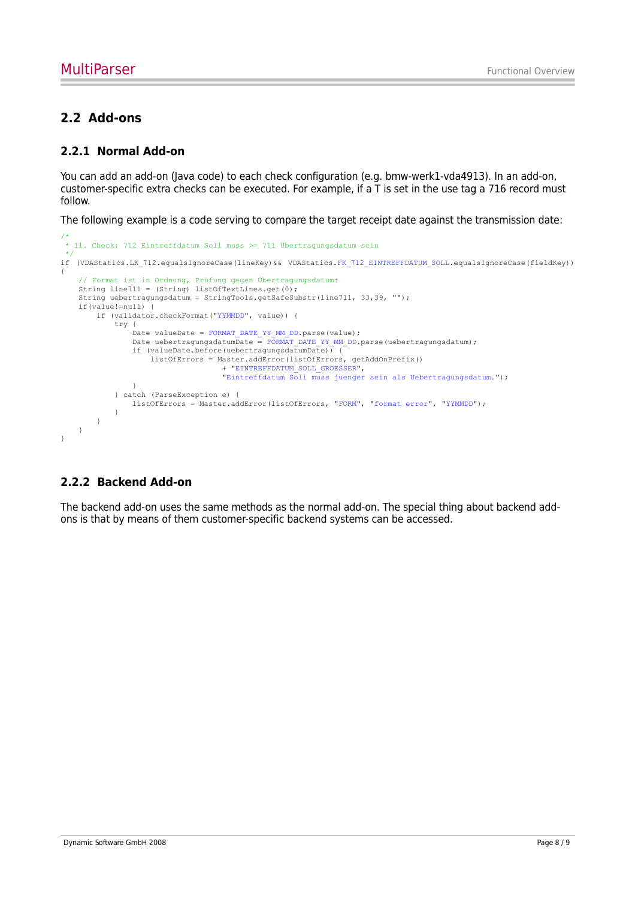### **2.2 Add-ons**

#### **2.2.1 Normal Add-on**

You can add an add-on (Java code) to each check configuration (e.g. bmw-werk1-vda4913). In an add-on, customer-specific extra checks can be executed. For example, if a T is set in the use tag a 716 record must follow.

The following example is a code serving to compare the target receipt date against the transmission date:

```
/*
 * 11. Check: 712 Eintreffdatum Soll muss >= 711 Übertragungsdatum sein
 */
if (VDAStatics.LK_712.equalsIgnoreCase(lineKey)&& VDAStatics.FK_712_EINTREFFDATUM_SOLL.equalsIgnoreCase(fieldKey))
{
    // Format ist in Ordnung, Prüfung gegen Übertragungsdatum:
   String line711 = (String) listOfTextLines.get(0);
    String uebertragungsdatum = StringTools.getSafeSubstr(line711, 33,39, "");
    if(value!=null) {
        if (validator.checkFormat("YYMMDD", value)) {
            try {
                .<br>Date valueDate = FORMAT DATE YY MM DD.parse(value);
               Date uebertragungsdatumDate = FORMAT_DATE_YY_MM_DD.parse(uebertragungsdatum);
                 if (valueDate.before(uebertragungsdatumDate)) {
                    listOfErrors = Master.addError(listOfErrors, getAddOnPrefix()
                                    + "EINTREFFDATUM_SOLL_GROESSER",
                                    "Eintreffdatum Soll muss juenger sein als Uebertragungsdatum.");
 }
             } catch (ParseException e) {
            listOfErrors = Master.addError(listOfErrors, "FORM", "format error", "YYMMDD");
 }
        }
   \lambda}
```
#### **2.2.2 Backend Add-on**

The backend add-on uses the same methods as the normal add-on. The special thing about backend addons is that by means of them customer-specific backend systems can be accessed.